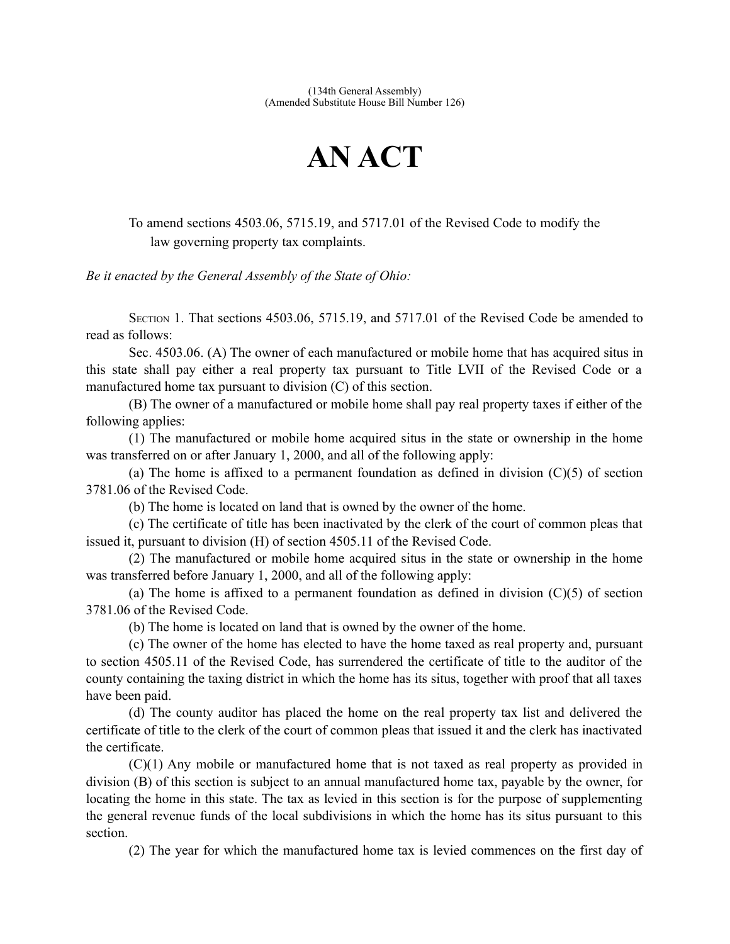## **AN ACT**

To amend sections 4503.06, 5715.19, and 5717.01 of the Revised Code to modify the law governing property tax complaints.

*Be it enacted by the General Assembly of the State of Ohio:*

SECTION 1. That sections 4503.06, 5715.19, and 5717.01 of the Revised Code be amended to read as follows:

Sec. 4503.06. (A) The owner of each manufactured or mobile home that has acquired situs in this state shall pay either a real property tax pursuant to Title LVII of the Revised Code or a manufactured home tax pursuant to division (C) of this section.

(B) The owner of a manufactured or mobile home shall pay real property taxes if either of the following applies:

(1) The manufactured or mobile home acquired situs in the state or ownership in the home was transferred on or after January 1, 2000, and all of the following apply:

(a) The home is affixed to a permanent foundation as defined in division  $(C)(5)$  of section 3781.06 of the Revised Code.

(b) The home is located on land that is owned by the owner of the home.

(c) The certificate of title has been inactivated by the clerk of the court of common pleas that issued it, pursuant to division (H) of section 4505.11 of the Revised Code.

(2) The manufactured or mobile home acquired situs in the state or ownership in the home was transferred before January 1, 2000, and all of the following apply:

(a) The home is affixed to a permanent foundation as defined in division  $(C)(5)$  of section 3781.06 of the Revised Code.

(b) The home is located on land that is owned by the owner of the home.

(c) The owner of the home has elected to have the home taxed as real property and, pursuant to section 4505.11 of the Revised Code, has surrendered the certificate of title to the auditor of the county containing the taxing district in which the home has its situs, together with proof that all taxes have been paid.

(d) The county auditor has placed the home on the real property tax list and delivered the certificate of title to the clerk of the court of common pleas that issued it and the clerk has inactivated the certificate.

(C)(1) Any mobile or manufactured home that is not taxed as real property as provided in division (B) of this section is subject to an annual manufactured home tax, payable by the owner, for locating the home in this state. The tax as levied in this section is for the purpose of supplementing the general revenue funds of the local subdivisions in which the home has its situs pursuant to this section.

(2) The year for which the manufactured home tax is levied commences on the first day of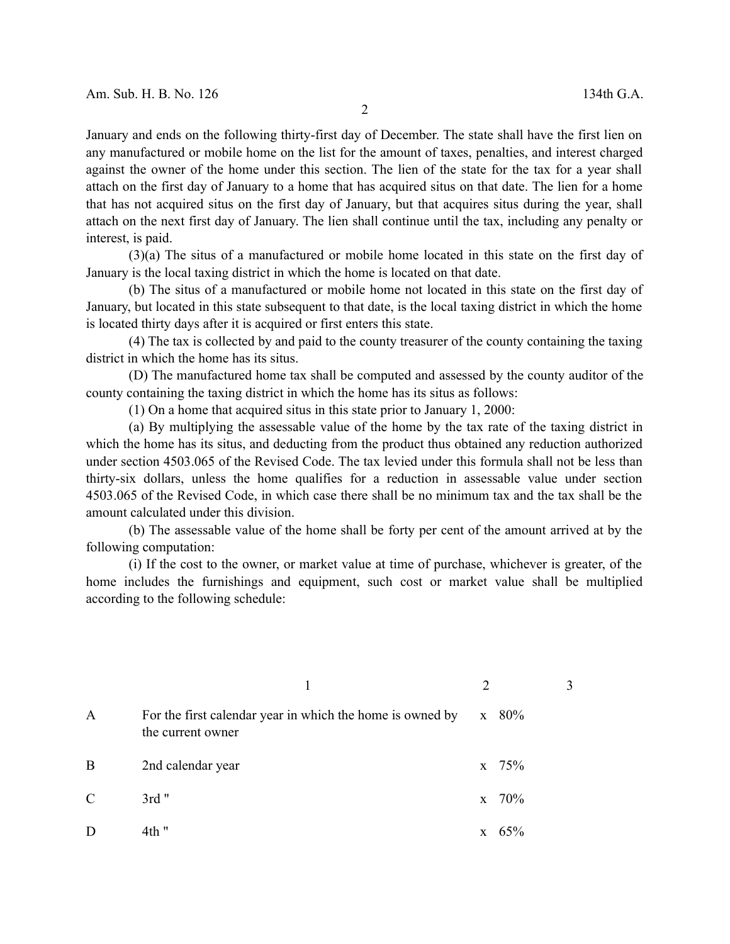January and ends on the following thirty-first day of December. The state shall have the first lien on any manufactured or mobile home on the list for the amount of taxes, penalties, and interest charged against the owner of the home under this section. The lien of the state for the tax for a year shall attach on the first day of January to a home that has acquired situs on that date. The lien for a home that has not acquired situs on the first day of January, but that acquires situs during the year, shall attach on the next first day of January. The lien shall continue until the tax, including any penalty or interest, is paid.

(3)(a) The situs of a manufactured or mobile home located in this state on the first day of January is the local taxing district in which the home is located on that date.

(b) The situs of a manufactured or mobile home not located in this state on the first day of January, but located in this state subsequent to that date, is the local taxing district in which the home is located thirty days after it is acquired or first enters this state.

(4) The tax is collected by and paid to the county treasurer of the county containing the taxing district in which the home has its situs.

(D) The manufactured home tax shall be computed and assessed by the county auditor of the county containing the taxing district in which the home has its situs as follows:

(1) On a home that acquired situs in this state prior to January 1, 2000:

(a) By multiplying the assessable value of the home by the tax rate of the taxing district in which the home has its situs, and deducting from the product thus obtained any reduction authorized under section 4503.065 of the Revised Code. The tax levied under this formula shall not be less than thirty-six dollars, unless the home qualifies for a reduction in assessable value under section 4503.065 of the Revised Code, in which case there shall be no minimum tax and the tax shall be the amount calculated under this division.

(b) The assessable value of the home shall be forty per cent of the amount arrived at by the following computation:

(i) If the cost to the owner, or market value at time of purchase, whichever is greater, of the home includes the furnishings and equipment, such cost or market value shall be multiplied according to the following schedule:

| A             | For the first calendar year in which the home is owned by<br>the current owner | x 80%          |  |
|---------------|--------------------------------------------------------------------------------|----------------|--|
| B             | 2nd calendar year                                                              | $x \quad 75\%$ |  |
| $\mathcal{C}$ | $3rd$ "                                                                        | $x \quad 70\%$ |  |
| D             | $4th$ "                                                                        | 65%            |  |

2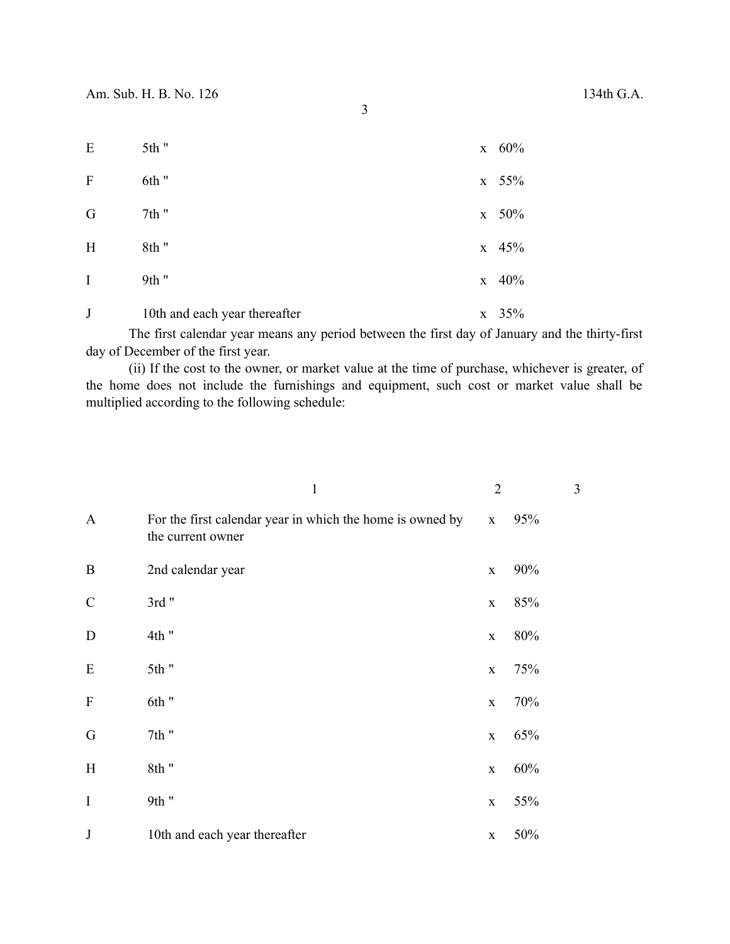| ٠                 |
|-------------------|
| I                 |
| w                 |
|                   |
| š<br>۰,<br>×<br>٠ |
|                   |

| E       | 5th "                         |              | $x \quad 60\%$ |
|---------|-------------------------------|--------------|----------------|
| F       | 6th "                         |              | $x \quad 55\%$ |
| G       | 7th "                         |              | x 50%          |
| H       | 8th"                          |              | $x \quad 45\%$ |
| Ι       | 9th "                         |              | $x \quad 40\%$ |
| $\bf J$ | 10th and each year thereafter | $\mathbf{X}$ | 35%            |

The first calendar year means any period between the first day of January and the thirty-first day of December of the first year.

(ii) If the cost to the owner, or market value at the time of purchase, whichever is greater, of the home does not include the furnishings and equipment, such cost or market value shall be multiplied according to the following schedule:

|               | $\mathbf{1}$                                                                   | $\overline{2}$ |     | 3 |
|---------------|--------------------------------------------------------------------------------|----------------|-----|---|
| $\mathbf{A}$  | For the first calendar year in which the home is owned by<br>the current owner | $\mathbf X$    | 95% |   |
| $\bf{B}$      | 2nd calendar year                                                              | $\mathbf X$    | 90% |   |
| $\mathcal{C}$ | 3rd"                                                                           | $\mathbf X$    | 85% |   |
| D             | 4th "                                                                          | $\mathbf X$    | 80% |   |
| E             | 5th"                                                                           | $\mathbf X$    | 75% |   |
| $\mathbf{F}$  | 6th "                                                                          | $\mathbf X$    | 70% |   |
| G             | $7th$ "                                                                        | $\mathbf X$    | 65% |   |
| H             | 8th"                                                                           | $\mathbf X$    | 60% |   |
| $\mathbf I$   | 9th "                                                                          | $\mathbf X$    | 55% |   |
| J             | 10th and each year thereafter                                                  | $\mathbf X$    | 50% |   |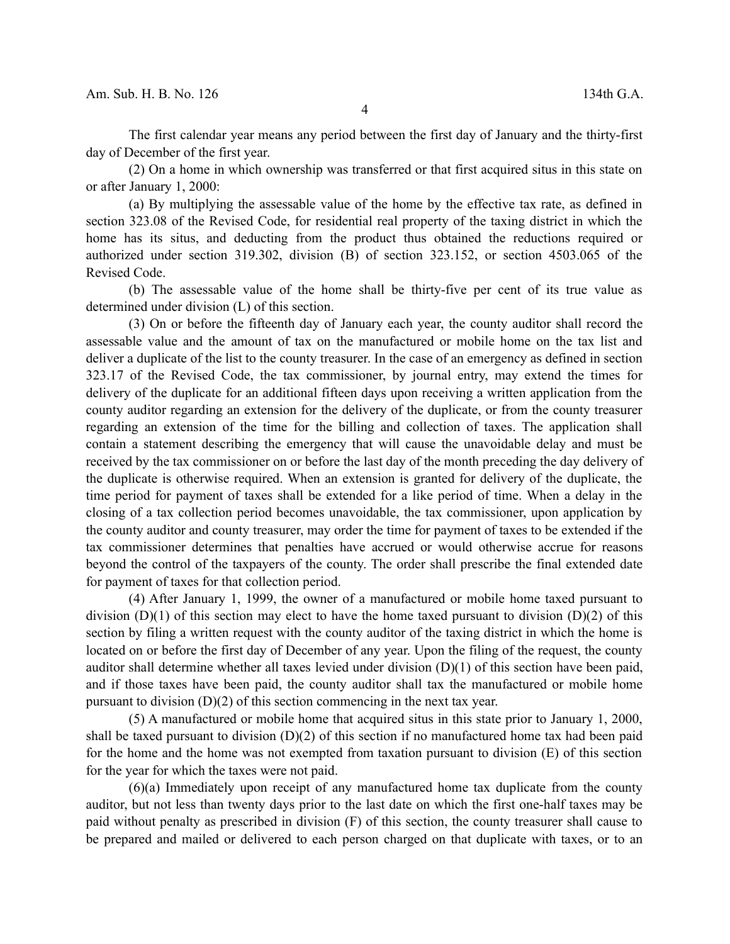The first calendar year means any period between the first day of January and the thirty-first day of December of the first year.

(2) On a home in which ownership was transferred or that first acquired situs in this state on or after January 1, 2000:

(a) By multiplying the assessable value of the home by the effective tax rate, as defined in section 323.08 of the Revised Code, for residential real property of the taxing district in which the home has its situs, and deducting from the product thus obtained the reductions required or authorized under section 319.302, division (B) of section 323.152, or section 4503.065 of the Revised Code.

(b) The assessable value of the home shall be thirty-five per cent of its true value as determined under division (L) of this section.

(3) On or before the fifteenth day of January each year, the county auditor shall record the assessable value and the amount of tax on the manufactured or mobile home on the tax list and deliver a duplicate of the list to the county treasurer. In the case of an emergency as defined in section 323.17 of the Revised Code, the tax commissioner, by journal entry, may extend the times for delivery of the duplicate for an additional fifteen days upon receiving a written application from the county auditor regarding an extension for the delivery of the duplicate, or from the county treasurer regarding an extension of the time for the billing and collection of taxes. The application shall contain a statement describing the emergency that will cause the unavoidable delay and must be received by the tax commissioner on or before the last day of the month preceding the day delivery of the duplicate is otherwise required. When an extension is granted for delivery of the duplicate, the time period for payment of taxes shall be extended for a like period of time. When a delay in the closing of a tax collection period becomes unavoidable, the tax commissioner, upon application by the county auditor and county treasurer, may order the time for payment of taxes to be extended if the tax commissioner determines that penalties have accrued or would otherwise accrue for reasons beyond the control of the taxpayers of the county. The order shall prescribe the final extended date for payment of taxes for that collection period.

(4) After January 1, 1999, the owner of a manufactured or mobile home taxed pursuant to division  $(D)(1)$  of this section may elect to have the home taxed pursuant to division  $(D)(2)$  of this section by filing a written request with the county auditor of the taxing district in which the home is located on or before the first day of December of any year. Upon the filing of the request, the county auditor shall determine whether all taxes levied under division (D)(1) of this section have been paid, and if those taxes have been paid, the county auditor shall tax the manufactured or mobile home pursuant to division (D)(2) of this section commencing in the next tax year.

(5) A manufactured or mobile home that acquired situs in this state prior to January 1, 2000, shall be taxed pursuant to division  $(D)(2)$  of this section if no manufactured home tax had been paid for the home and the home was not exempted from taxation pursuant to division (E) of this section for the year for which the taxes were not paid.

(6)(a) Immediately upon receipt of any manufactured home tax duplicate from the county auditor, but not less than twenty days prior to the last date on which the first one-half taxes may be paid without penalty as prescribed in division (F) of this section, the county treasurer shall cause to be prepared and mailed or delivered to each person charged on that duplicate with taxes, or to an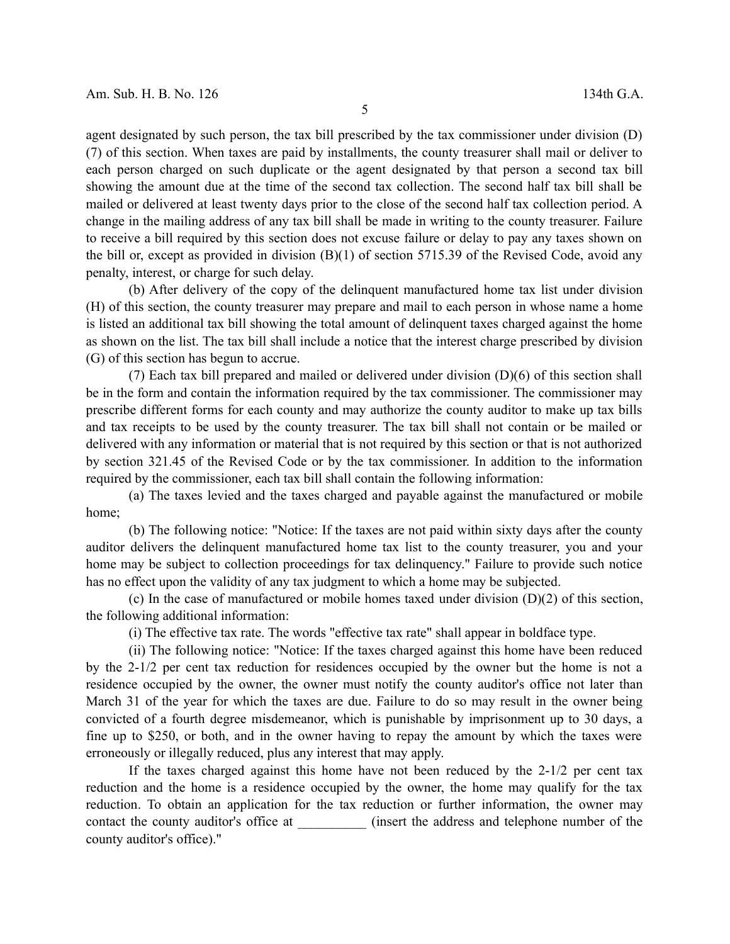agent designated by such person, the tax bill prescribed by the tax commissioner under division (D) (7) of this section. When taxes are paid by installments, the county treasurer shall mail or deliver to each person charged on such duplicate or the agent designated by that person a second tax bill showing the amount due at the time of the second tax collection. The second half tax bill shall be mailed or delivered at least twenty days prior to the close of the second half tax collection period. A change in the mailing address of any tax bill shall be made in writing to the county treasurer. Failure to receive a bill required by this section does not excuse failure or delay to pay any taxes shown on the bill or, except as provided in division (B)(1) of section 5715.39 of the Revised Code, avoid any penalty, interest, or charge for such delay.

(b) After delivery of the copy of the delinquent manufactured home tax list under division (H) of this section, the county treasurer may prepare and mail to each person in whose name a home is listed an additional tax bill showing the total amount of delinquent taxes charged against the home as shown on the list. The tax bill shall include a notice that the interest charge prescribed by division (G) of this section has begun to accrue.

(7) Each tax bill prepared and mailed or delivered under division (D)(6) of this section shall be in the form and contain the information required by the tax commissioner. The commissioner may prescribe different forms for each county and may authorize the county auditor to make up tax bills and tax receipts to be used by the county treasurer. The tax bill shall not contain or be mailed or delivered with any information or material that is not required by this section or that is not authorized by section 321.45 of the Revised Code or by the tax commissioner. In addition to the information required by the commissioner, each tax bill shall contain the following information:

(a) The taxes levied and the taxes charged and payable against the manufactured or mobile home;

(b) The following notice: "Notice: If the taxes are not paid within sixty days after the county auditor delivers the delinquent manufactured home tax list to the county treasurer, you and your home may be subject to collection proceedings for tax delinquency." Failure to provide such notice has no effect upon the validity of any tax judgment to which a home may be subjected.

(c) In the case of manufactured or mobile homes taxed under division (D)(2) of this section, the following additional information:

(i) The effective tax rate. The words "effective tax rate" shall appear in boldface type.

(ii) The following notice: "Notice: If the taxes charged against this home have been reduced by the 2-1/2 per cent tax reduction for residences occupied by the owner but the home is not a residence occupied by the owner, the owner must notify the county auditor's office not later than March 31 of the year for which the taxes are due. Failure to do so may result in the owner being convicted of a fourth degree misdemeanor, which is punishable by imprisonment up to 30 days, a fine up to \$250, or both, and in the owner having to repay the amount by which the taxes were erroneously or illegally reduced, plus any interest that may apply.

If the taxes charged against this home have not been reduced by the  $2\frac{1}{2}$  per cent tax reduction and the home is a residence occupied by the owner, the home may qualify for the tax reduction. To obtain an application for the tax reduction or further information, the owner may contact the county auditor's office at  $(insert the address and telephone number of the$ county auditor's office)."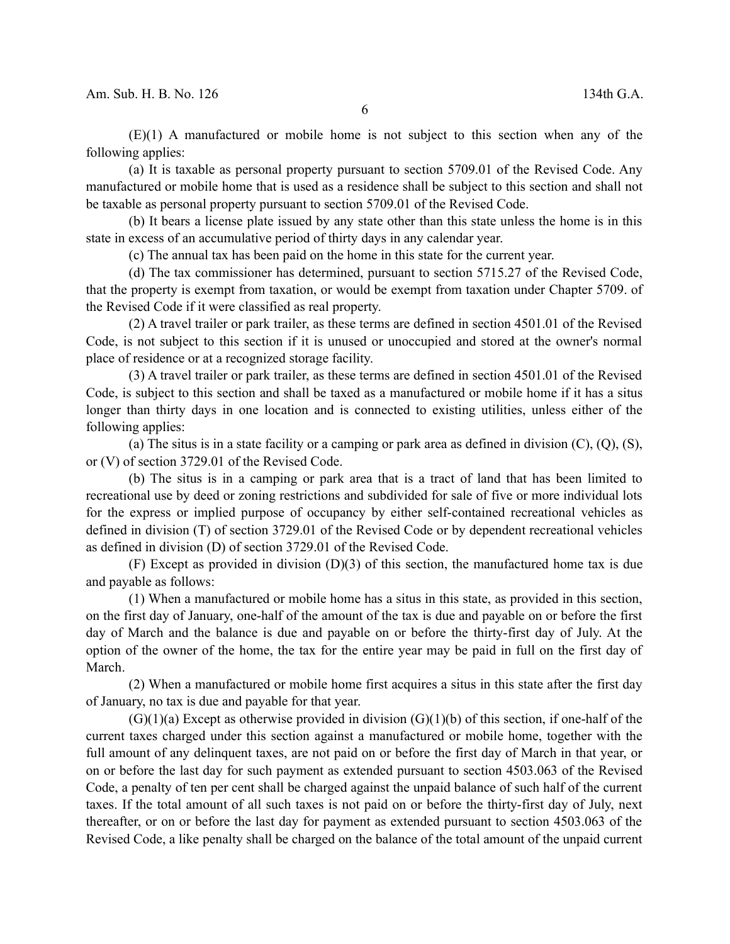(E)(1) A manufactured or mobile home is not subject to this section when any of the following applies:

(a) It is taxable as personal property pursuant to section 5709.01 of the Revised Code. Any manufactured or mobile home that is used as a residence shall be subject to this section and shall not be taxable as personal property pursuant to section 5709.01 of the Revised Code.

(b) It bears a license plate issued by any state other than this state unless the home is in this state in excess of an accumulative period of thirty days in any calendar year.

(c) The annual tax has been paid on the home in this state for the current year.

(d) The tax commissioner has determined, pursuant to section 5715.27 of the Revised Code, that the property is exempt from taxation, or would be exempt from taxation under Chapter 5709. of the Revised Code if it were classified as real property.

(2) A travel trailer or park trailer, as these terms are defined in section 4501.01 of the Revised Code, is not subject to this section if it is unused or unoccupied and stored at the owner's normal place of residence or at a recognized storage facility.

(3) A travel trailer or park trailer, as these terms are defined in section 4501.01 of the Revised Code, is subject to this section and shall be taxed as a manufactured or mobile home if it has a situs longer than thirty days in one location and is connected to existing utilities, unless either of the following applies:

(a) The situs is in a state facility or a camping or park area as defined in division  $(C)$ ,  $(Q)$ ,  $(S)$ , or (V) of section 3729.01 of the Revised Code.

(b) The situs is in a camping or park area that is a tract of land that has been limited to recreational use by deed or zoning restrictions and subdivided for sale of five or more individual lots for the express or implied purpose of occupancy by either self-contained recreational vehicles as defined in division (T) of section 3729.01 of the Revised Code or by dependent recreational vehicles as defined in division (D) of section 3729.01 of the Revised Code.

(F) Except as provided in division (D)(3) of this section, the manufactured home tax is due and payable as follows:

(1) When a manufactured or mobile home has a situs in this state, as provided in this section, on the first day of January, one-half of the amount of the tax is due and payable on or before the first day of March and the balance is due and payable on or before the thirty-first day of July. At the option of the owner of the home, the tax for the entire year may be paid in full on the first day of March.

(2) When a manufactured or mobile home first acquires a situs in this state after the first day of January, no tax is due and payable for that year.

 $(G)(1)(a)$  Except as otherwise provided in division  $(G)(1)(b)$  of this section, if one-half of the current taxes charged under this section against a manufactured or mobile home, together with the full amount of any delinquent taxes, are not paid on or before the first day of March in that year, or on or before the last day for such payment as extended pursuant to section 4503.063 of the Revised Code, a penalty of ten per cent shall be charged against the unpaid balance of such half of the current taxes. If the total amount of all such taxes is not paid on or before the thirty-first day of July, next thereafter, or on or before the last day for payment as extended pursuant to section 4503.063 of the Revised Code, a like penalty shall be charged on the balance of the total amount of the unpaid current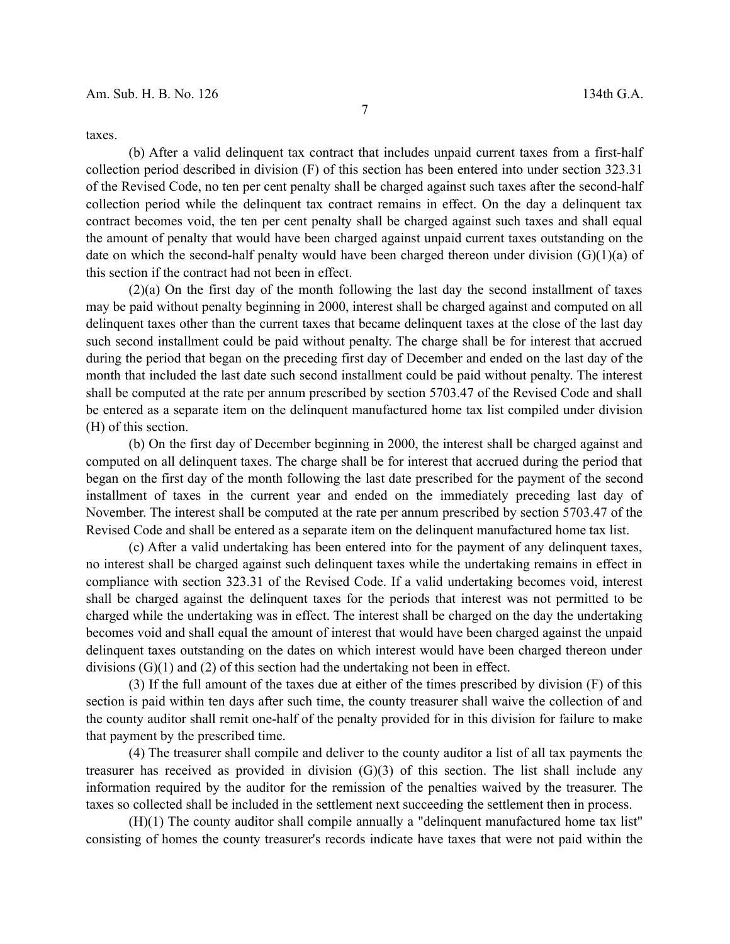taxes.

(b) After a valid delinquent tax contract that includes unpaid current taxes from a first-half collection period described in division (F) of this section has been entered into under section 323.31 of the Revised Code, no ten per cent penalty shall be charged against such taxes after the second-half collection period while the delinquent tax contract remains in effect. On the day a delinquent tax contract becomes void, the ten per cent penalty shall be charged against such taxes and shall equal the amount of penalty that would have been charged against unpaid current taxes outstanding on the date on which the second-half penalty would have been charged thereon under division  $(G)(1)(a)$  of this section if the contract had not been in effect.

(2)(a) On the first day of the month following the last day the second installment of taxes may be paid without penalty beginning in 2000, interest shall be charged against and computed on all delinquent taxes other than the current taxes that became delinquent taxes at the close of the last day such second installment could be paid without penalty. The charge shall be for interest that accrued during the period that began on the preceding first day of December and ended on the last day of the month that included the last date such second installment could be paid without penalty. The interest shall be computed at the rate per annum prescribed by section 5703.47 of the Revised Code and shall be entered as a separate item on the delinquent manufactured home tax list compiled under division (H) of this section.

(b) On the first day of December beginning in 2000, the interest shall be charged against and computed on all delinquent taxes. The charge shall be for interest that accrued during the period that began on the first day of the month following the last date prescribed for the payment of the second installment of taxes in the current year and ended on the immediately preceding last day of November. The interest shall be computed at the rate per annum prescribed by section 5703.47 of the Revised Code and shall be entered as a separate item on the delinquent manufactured home tax list.

(c) After a valid undertaking has been entered into for the payment of any delinquent taxes, no interest shall be charged against such delinquent taxes while the undertaking remains in effect in compliance with section 323.31 of the Revised Code. If a valid undertaking becomes void, interest shall be charged against the delinquent taxes for the periods that interest was not permitted to be charged while the undertaking was in effect. The interest shall be charged on the day the undertaking becomes void and shall equal the amount of interest that would have been charged against the unpaid delinquent taxes outstanding on the dates on which interest would have been charged thereon under divisions (G)(1) and (2) of this section had the undertaking not been in effect.

(3) If the full amount of the taxes due at either of the times prescribed by division (F) of this section is paid within ten days after such time, the county treasurer shall waive the collection of and the county auditor shall remit one-half of the penalty provided for in this division for failure to make that payment by the prescribed time.

(4) The treasurer shall compile and deliver to the county auditor a list of all tax payments the treasurer has received as provided in division  $(G)(3)$  of this section. The list shall include any information required by the auditor for the remission of the penalties waived by the treasurer. The taxes so collected shall be included in the settlement next succeeding the settlement then in process.

(H)(1) The county auditor shall compile annually a "delinquent manufactured home tax list" consisting of homes the county treasurer's records indicate have taxes that were not paid within the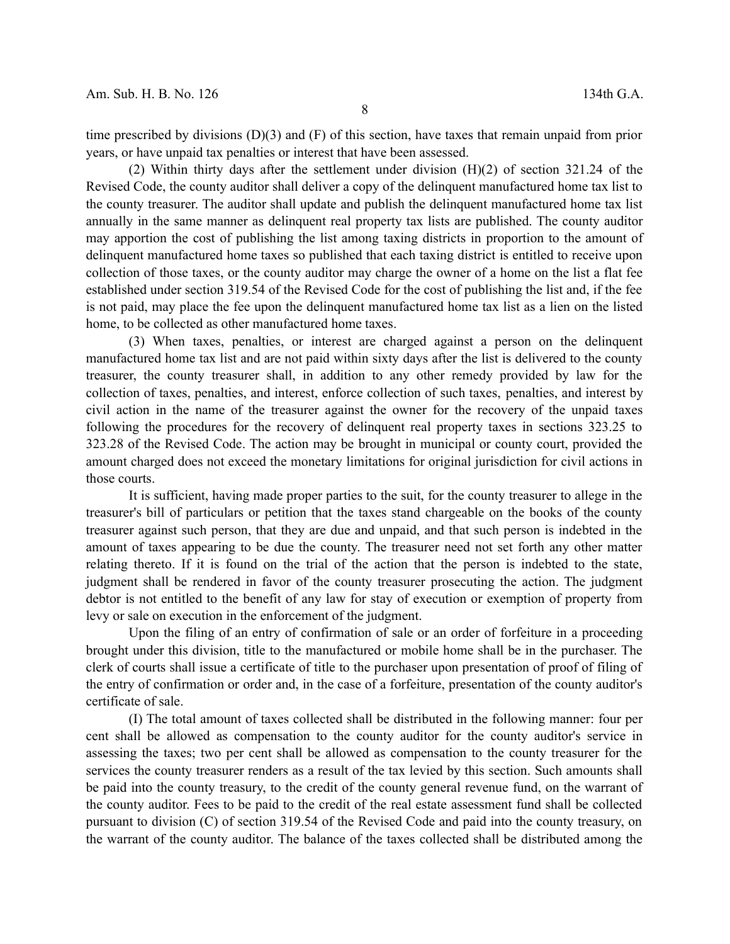time prescribed by divisions (D)(3) and (F) of this section, have taxes that remain unpaid from prior years, or have unpaid tax penalties or interest that have been assessed.

(2) Within thirty days after the settlement under division (H)(2) of section 321.24 of the Revised Code, the county auditor shall deliver a copy of the delinquent manufactured home tax list to the county treasurer. The auditor shall update and publish the delinquent manufactured home tax list annually in the same manner as delinquent real property tax lists are published. The county auditor may apportion the cost of publishing the list among taxing districts in proportion to the amount of delinquent manufactured home taxes so published that each taxing district is entitled to receive upon collection of those taxes, or the county auditor may charge the owner of a home on the list a flat fee established under section 319.54 of the Revised Code for the cost of publishing the list and, if the fee is not paid, may place the fee upon the delinquent manufactured home tax list as a lien on the listed home, to be collected as other manufactured home taxes.

(3) When taxes, penalties, or interest are charged against a person on the delinquent manufactured home tax list and are not paid within sixty days after the list is delivered to the county treasurer, the county treasurer shall, in addition to any other remedy provided by law for the collection of taxes, penalties, and interest, enforce collection of such taxes, penalties, and interest by civil action in the name of the treasurer against the owner for the recovery of the unpaid taxes following the procedures for the recovery of delinquent real property taxes in sections 323.25 to 323.28 of the Revised Code. The action may be brought in municipal or county court, provided the amount charged does not exceed the monetary limitations for original jurisdiction for civil actions in those courts.

It is sufficient, having made proper parties to the suit, for the county treasurer to allege in the treasurer's bill of particulars or petition that the taxes stand chargeable on the books of the county treasurer against such person, that they are due and unpaid, and that such person is indebted in the amount of taxes appearing to be due the county. The treasurer need not set forth any other matter relating thereto. If it is found on the trial of the action that the person is indebted to the state, judgment shall be rendered in favor of the county treasurer prosecuting the action. The judgment debtor is not entitled to the benefit of any law for stay of execution or exemption of property from levy or sale on execution in the enforcement of the judgment.

Upon the filing of an entry of confirmation of sale or an order of forfeiture in a proceeding brought under this division, title to the manufactured or mobile home shall be in the purchaser. The clerk of courts shall issue a certificate of title to the purchaser upon presentation of proof of filing of the entry of confirmation or order and, in the case of a forfeiture, presentation of the county auditor's certificate of sale.

(I) The total amount of taxes collected shall be distributed in the following manner: four per cent shall be allowed as compensation to the county auditor for the county auditor's service in assessing the taxes; two per cent shall be allowed as compensation to the county treasurer for the services the county treasurer renders as a result of the tax levied by this section. Such amounts shall be paid into the county treasury, to the credit of the county general revenue fund, on the warrant of the county auditor. Fees to be paid to the credit of the real estate assessment fund shall be collected pursuant to division (C) of section 319.54 of the Revised Code and paid into the county treasury, on the warrant of the county auditor. The balance of the taxes collected shall be distributed among the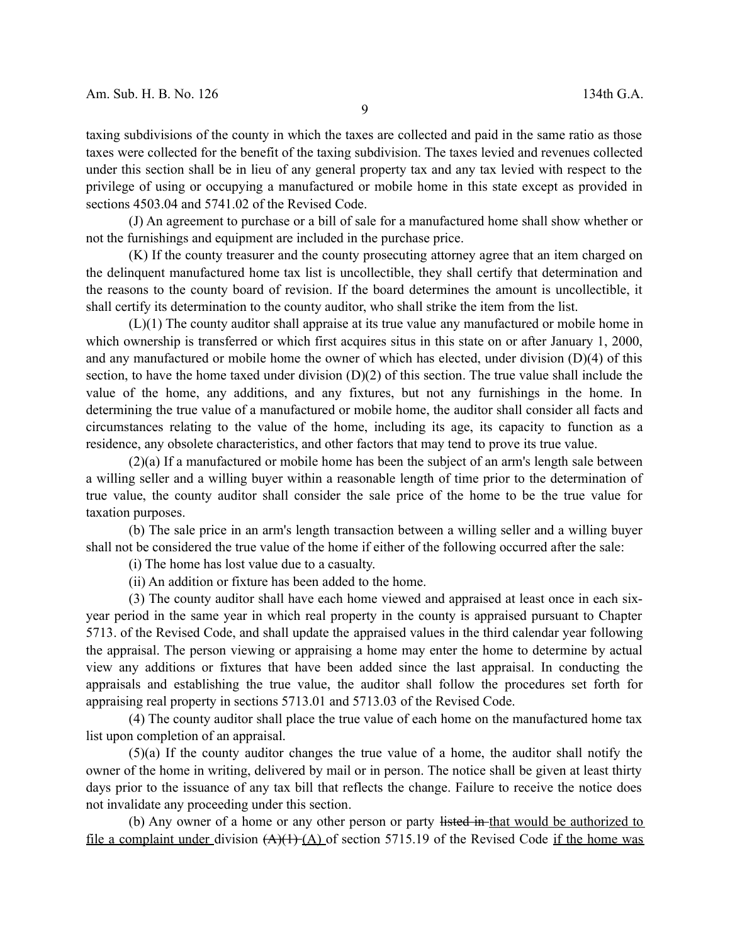taxing subdivisions of the county in which the taxes are collected and paid in the same ratio as those taxes were collected for the benefit of the taxing subdivision. The taxes levied and revenues collected under this section shall be in lieu of any general property tax and any tax levied with respect to the privilege of using or occupying a manufactured or mobile home in this state except as provided in sections 4503.04 and 5741.02 of the Revised Code.

(J) An agreement to purchase or a bill of sale for a manufactured home shall show whether or not the furnishings and equipment are included in the purchase price.

(K) If the county treasurer and the county prosecuting attorney agree that an item charged on the delinquent manufactured home tax list is uncollectible, they shall certify that determination and the reasons to the county board of revision. If the board determines the amount is uncollectible, it shall certify its determination to the county auditor, who shall strike the item from the list.

(L)(1) The county auditor shall appraise at its true value any manufactured or mobile home in which ownership is transferred or which first acquires situs in this state on or after January 1, 2000, and any manufactured or mobile home the owner of which has elected, under division (D)(4) of this section, to have the home taxed under division (D)(2) of this section. The true value shall include the value of the home, any additions, and any fixtures, but not any furnishings in the home. In determining the true value of a manufactured or mobile home, the auditor shall consider all facts and circumstances relating to the value of the home, including its age, its capacity to function as a residence, any obsolete characteristics, and other factors that may tend to prove its true value.

(2)(a) If a manufactured or mobile home has been the subject of an arm's length sale between a willing seller and a willing buyer within a reasonable length of time prior to the determination of true value, the county auditor shall consider the sale price of the home to be the true value for taxation purposes.

(b) The sale price in an arm's length transaction between a willing seller and a willing buyer shall not be considered the true value of the home if either of the following occurred after the sale:

(i) The home has lost value due to a casualty.

(ii) An addition or fixture has been added to the home.

(3) The county auditor shall have each home viewed and appraised at least once in each sixyear period in the same year in which real property in the county is appraised pursuant to Chapter 5713. of the Revised Code, and shall update the appraised values in the third calendar year following the appraisal. The person viewing or appraising a home may enter the home to determine by actual view any additions or fixtures that have been added since the last appraisal. In conducting the appraisals and establishing the true value, the auditor shall follow the procedures set forth for appraising real property in sections 5713.01 and 5713.03 of the Revised Code.

(4) The county auditor shall place the true value of each home on the manufactured home tax list upon completion of an appraisal.

(5)(a) If the county auditor changes the true value of a home, the auditor shall notify the owner of the home in writing, delivered by mail or in person. The notice shall be given at least thirty days prior to the issuance of any tax bill that reflects the change. Failure to receive the notice does not invalidate any proceeding under this section.

(b) Any owner of a home or any other person or party listed in that would be authorized to file a complaint under division  $(A)(1)$  (A) of section 5715.19 of the Revised Code if the home was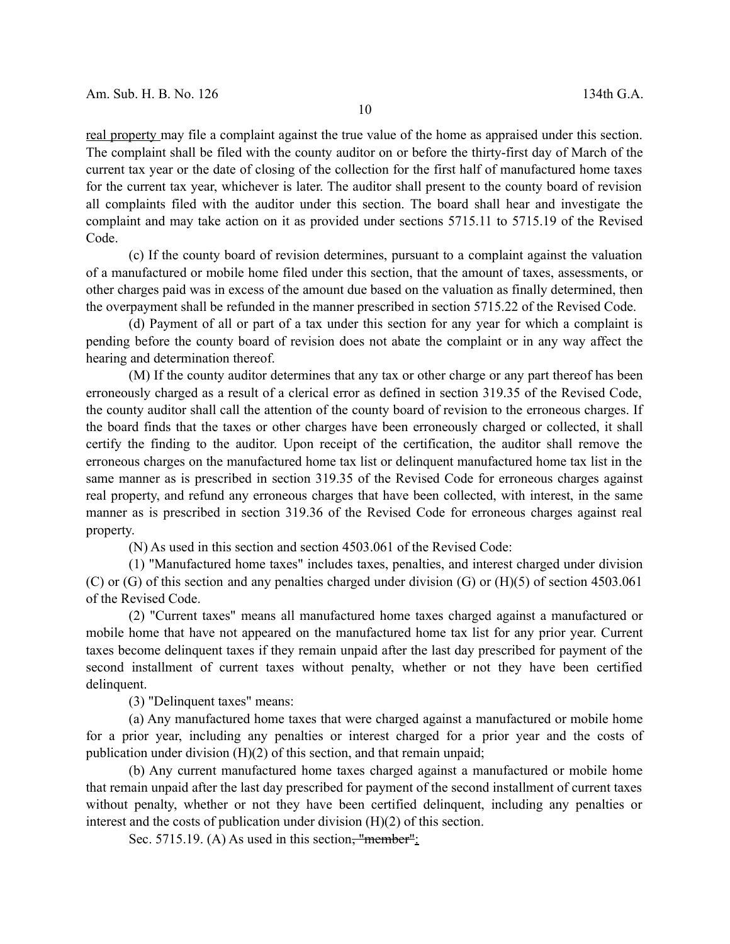real property may file a complaint against the true value of the home as appraised under this section. The complaint shall be filed with the county auditor on or before the thirty-first day of March of the current tax year or the date of closing of the collection for the first half of manufactured home taxes for the current tax year, whichever is later. The auditor shall present to the county board of revision all complaints filed with the auditor under this section. The board shall hear and investigate the complaint and may take action on it as provided under sections 5715.11 to 5715.19 of the Revised Code.

(c) If the county board of revision determines, pursuant to a complaint against the valuation of a manufactured or mobile home filed under this section, that the amount of taxes, assessments, or other charges paid was in excess of the amount due based on the valuation as finally determined, then the overpayment shall be refunded in the manner prescribed in section 5715.22 of the Revised Code.

(d) Payment of all or part of a tax under this section for any year for which a complaint is pending before the county board of revision does not abate the complaint or in any way affect the hearing and determination thereof.

(M) If the county auditor determines that any tax or other charge or any part thereof has been erroneously charged as a result of a clerical error as defined in section 319.35 of the Revised Code, the county auditor shall call the attention of the county board of revision to the erroneous charges. If the board finds that the taxes or other charges have been erroneously charged or collected, it shall certify the finding to the auditor. Upon receipt of the certification, the auditor shall remove the erroneous charges on the manufactured home tax list or delinquent manufactured home tax list in the same manner as is prescribed in section 319.35 of the Revised Code for erroneous charges against real property, and refund any erroneous charges that have been collected, with interest, in the same manner as is prescribed in section 319.36 of the Revised Code for erroneous charges against real property.

(N) As used in this section and section 4503.061 of the Revised Code:

(1) "Manufactured home taxes" includes taxes, penalties, and interest charged under division (C) or (G) of this section and any penalties charged under division (G) or (H)(5) of section 4503.061 of the Revised Code.

(2) "Current taxes" means all manufactured home taxes charged against a manufactured or mobile home that have not appeared on the manufactured home tax list for any prior year. Current taxes become delinquent taxes if they remain unpaid after the last day prescribed for payment of the second installment of current taxes without penalty, whether or not they have been certified delinquent.

(3) "Delinquent taxes" means:

(a) Any manufactured home taxes that were charged against a manufactured or mobile home for a prior year, including any penalties or interest charged for a prior year and the costs of publication under division (H)(2) of this section, and that remain unpaid;

(b) Any current manufactured home taxes charged against a manufactured or mobile home that remain unpaid after the last day prescribed for payment of the second installment of current taxes without penalty, whether or not they have been certified delinquent, including any penalties or interest and the costs of publication under division (H)(2) of this section.

Sec. 5715.19. (A) As used in this section, "member":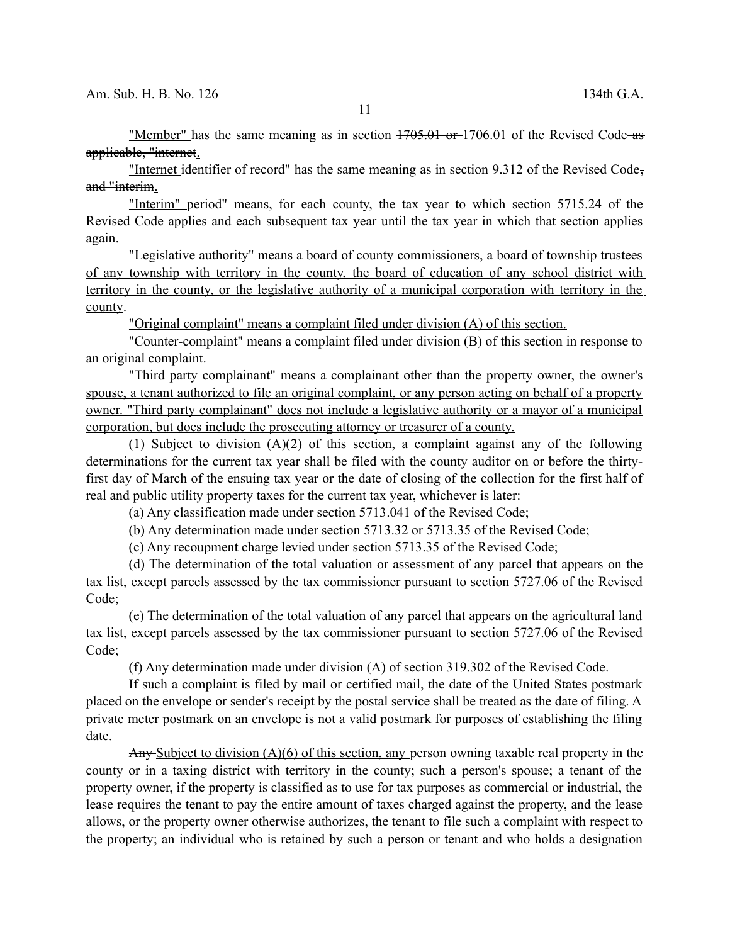"Member" has the same meaning as in section  $1705.01$  or  $1706.01$  of the Revised Code-as applicable, "internet.

"Internet identifier of record" has the same meaning as in section 9.312 of the Revised Code, and "interim.

"Interim" period" means, for each county, the tax year to which section 5715.24 of the Revised Code applies and each subsequent tax year until the tax year in which that section applies again.

"Legislative authority" means a board of county commissioners, a board of township trustees of any township with territory in the county, the board of education of any school district with territory in the county, or the legislative authority of a municipal corporation with territory in the county.

"Original complaint" means a complaint filed under division (A) of this section.

"Counter-complaint" means a complaint filed under division (B) of this section in response to an original complaint.

"Third party complainant" means a complainant other than the property owner, the owner's spouse, a tenant authorized to file an original complaint, or any person acting on behalf of a property owner. "Third party complainant" does not include a legislative authority or a mayor of a municipal corporation, but does include the prosecuting attorney or treasurer of a county.

(1) Subject to division (A)(2) of this section, a complaint against any of the following determinations for the current tax year shall be filed with the county auditor on or before the thirtyfirst day of March of the ensuing tax year or the date of closing of the collection for the first half of real and public utility property taxes for the current tax year, whichever is later:

(a) Any classification made under section 5713.041 of the Revised Code;

(b) Any determination made under section 5713.32 or 5713.35 of the Revised Code;

(c) Any recoupment charge levied under section 5713.35 of the Revised Code;

(d) The determination of the total valuation or assessment of any parcel that appears on the tax list, except parcels assessed by the tax commissioner pursuant to section 5727.06 of the Revised Code;

(e) The determination of the total valuation of any parcel that appears on the agricultural land tax list, except parcels assessed by the tax commissioner pursuant to section 5727.06 of the Revised Code;

(f) Any determination made under division (A) of section 319.302 of the Revised Code.

If such a complaint is filed by mail or certified mail, the date of the United States postmark placed on the envelope or sender's receipt by the postal service shall be treated as the date of filing. A private meter postmark on an envelope is not a valid postmark for purposes of establishing the filing date.

Any Subject to division (A)(6) of this section, any person owning taxable real property in the county or in a taxing district with territory in the county; such a person's spouse; a tenant of the property owner, if the property is classified as to use for tax purposes as commercial or industrial, the lease requires the tenant to pay the entire amount of taxes charged against the property, and the lease allows, or the property owner otherwise authorizes, the tenant to file such a complaint with respect to the property; an individual who is retained by such a person or tenant and who holds a designation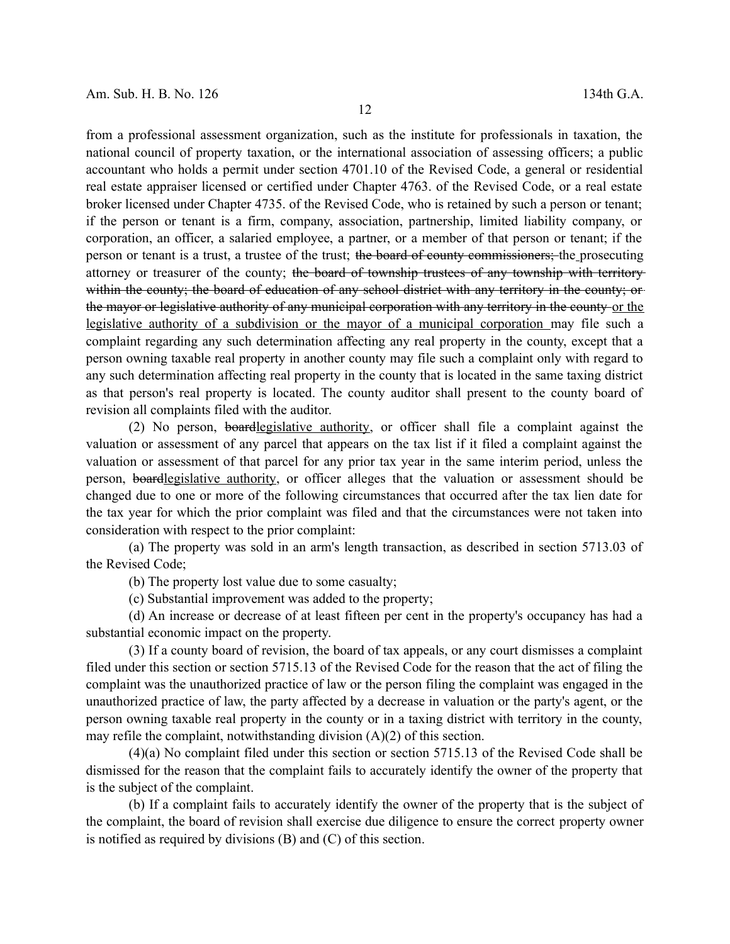from a professional assessment organization, such as the institute for professionals in taxation, the national council of property taxation, or the international association of assessing officers; a public accountant who holds a permit under section 4701.10 of the Revised Code, a general or residential real estate appraiser licensed or certified under Chapter 4763. of the Revised Code, or a real estate broker licensed under Chapter 4735. of the Revised Code, who is retained by such a person or tenant; if the person or tenant is a firm, company, association, partnership, limited liability company, or corporation, an officer, a salaried employee, a partner, or a member of that person or tenant; if the person or tenant is a trust, a trustee of the trust; the board of county commissioners; the prosecuting attorney or treasurer of the county; the board of township trustees of any township with territory within the county; the board of education of any school district with any territory in the county; or the mayor or legislative authority of any municipal corporation with any territory in the county or the legislative authority of a subdivision or the mayor of a municipal corporation may file such a complaint regarding any such determination affecting any real property in the county, except that a person owning taxable real property in another county may file such a complaint only with regard to any such determination affecting real property in the county that is located in the same taxing district as that person's real property is located. The county auditor shall present to the county board of revision all complaints filed with the auditor.

(2) No person, boardlegislative authority, or officer shall file a complaint against the valuation or assessment of any parcel that appears on the tax list if it filed a complaint against the valuation or assessment of that parcel for any prior tax year in the same interim period, unless the person, boardlegislative authority, or officer alleges that the valuation or assessment should be changed due to one or more of the following circumstances that occurred after the tax lien date for the tax year for which the prior complaint was filed and that the circumstances were not taken into consideration with respect to the prior complaint:

(a) The property was sold in an arm's length transaction, as described in section 5713.03 of the Revised Code;

(b) The property lost value due to some casualty;

(c) Substantial improvement was added to the property;

(d) An increase or decrease of at least fifteen per cent in the property's occupancy has had a substantial economic impact on the property.

(3) If a county board of revision, the board of tax appeals, or any court dismisses a complaint filed under this section or section 5715.13 of the Revised Code for the reason that the act of filing the complaint was the unauthorized practice of law or the person filing the complaint was engaged in the unauthorized practice of law, the party affected by a decrease in valuation or the party's agent, or the person owning taxable real property in the county or in a taxing district with territory in the county, may refile the complaint, notwithstanding division (A)(2) of this section.

(4)(a) No complaint filed under this section or section 5715.13 of the Revised Code shall be dismissed for the reason that the complaint fails to accurately identify the owner of the property that is the subject of the complaint.

(b) If a complaint fails to accurately identify the owner of the property that is the subject of the complaint, the board of revision shall exercise due diligence to ensure the correct property owner is notified as required by divisions (B) and (C) of this section.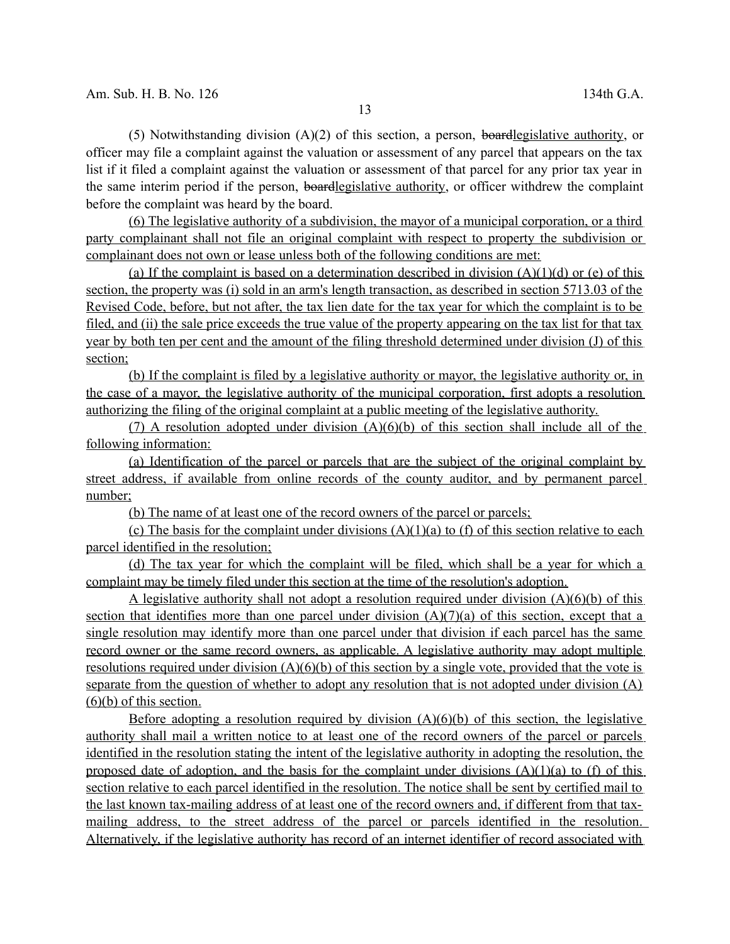(5) Notwithstanding division  $(A)(2)$  of this section, a person, boardlegislative authority, or officer may file a complaint against the valuation or assessment of any parcel that appears on the tax list if it filed a complaint against the valuation or assessment of that parcel for any prior tax year in the same interim period if the person, boardlegislative authority, or officer withdrew the complaint before the complaint was heard by the board.

(6) The legislative authority of a subdivision, the mayor of a municipal corporation, or a third party complainant shall not file an original complaint with respect to property the subdivision or complainant does not own or lease unless both of the following conditions are met:

(a) If the complaint is based on a determination described in division  $(A)(1)(d)$  or (e) of this section, the property was (i) sold in an arm's length transaction, as described in section 5713.03 of the Revised Code, before, but not after, the tax lien date for the tax year for which the complaint is to be filed, and (ii) the sale price exceeds the true value of the property appearing on the tax list for that tax year by both ten per cent and the amount of the filing threshold determined under division (J) of this section;

(b) If the complaint is filed by a legislative authority or mayor, the legislative authority or, in the case of a mayor, the legislative authority of the municipal corporation, first adopts a resolution authorizing the filing of the original complaint at a public meeting of the legislative authority.

(7) A resolution adopted under division  $(A)(6)(b)$  of this section shall include all of the following information:

(a) Identification of the parcel or parcels that are the subject of the original complaint by street address, if available from online records of the county auditor, and by permanent parcel number;

(b) The name of at least one of the record owners of the parcel or parcels;

(c) The basis for the complaint under divisions  $(A)(1)(a)$  to (f) of this section relative to each parcel identified in the resolution;

(d) The tax year for which the complaint will be filed, which shall be a year for which a complaint may be timely filed under this section at the time of the resolution's adoption.

A legislative authority shall not adopt a resolution required under division  $(A)(6)(b)$  of this section that identifies more than one parcel under division  $(A)(7)(a)$  of this section, except that a single resolution may identify more than one parcel under that division if each parcel has the same record owner or the same record owners, as applicable. A legislative authority may adopt multiple resolutions required under division  $(A)(6)(b)$  of this section by a single vote, provided that the vote is separate from the question of whether to adopt any resolution that is not adopted under division (A)  $(6)(b)$  of this section.

Before adopting a resolution required by division  $(A)(6)(b)$  of this section, the legislative authority shall mail a written notice to at least one of the record owners of the parcel or parcels identified in the resolution stating the intent of the legislative authority in adopting the resolution, the proposed date of adoption, and the basis for the complaint under divisions  $(A)(1)(a)$  to (f) of this section relative to each parcel identified in the resolution. The notice shall be sent by certified mail to the last known tax-mailing address of at least one of the record owners and, if different from that taxmailing address, to the street address of the parcel or parcels identified in the resolution. Alternatively, if the legislative authority has record of an internet identifier of record associated with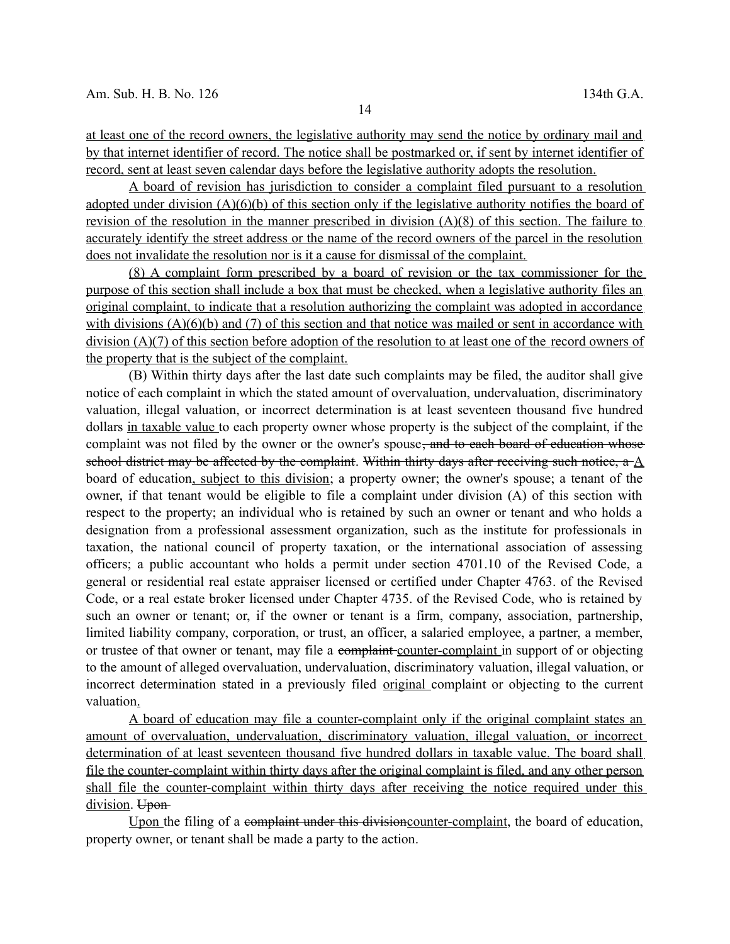at least one of the record owners, the legislative authority may send the notice by ordinary mail and by that internet identifier of record. The notice shall be postmarked or, if sent by internet identifier of record, sent at least seven calendar days before the legislative authority adopts the resolution.

A board of revision has jurisdiction to consider a complaint filed pursuant to a resolution adopted under division (A)(6)(b) of this section only if the legislative authority notifies the board of revision of the resolution in the manner prescribed in division (A)(8) of this section. The failure to accurately identify the street address or the name of the record owners of the parcel in the resolution does not invalidate the resolution nor is it a cause for dismissal of the complaint.

(8) A complaint form prescribed by a board of revision or the tax commissioner for the purpose of this section shall include a box that must be checked, when a legislative authority files an original complaint, to indicate that a resolution authorizing the complaint was adopted in accordance with divisions  $(A)(6)(b)$  and  $(7)$  of this section and that notice was mailed or sent in accordance with division (A)(7) of this section before adoption of the resolution to at least one of the record owners of the property that is the subject of the complaint.

(B) Within thirty days after the last date such complaints may be filed, the auditor shall give notice of each complaint in which the stated amount of overvaluation, undervaluation, discriminatory valuation, illegal valuation, or incorrect determination is at least seventeen thousand five hundred dollars in taxable value to each property owner whose property is the subject of the complaint, if the complaint was not filed by the owner or the owner's spouse, and to each board of education whose school district may be affected by the complaint. Within thirty days after receiving such notice, a A board of education, subject to this division; a property owner; the owner's spouse; a tenant of the owner, if that tenant would be eligible to file a complaint under division (A) of this section with respect to the property; an individual who is retained by such an owner or tenant and who holds a designation from a professional assessment organization, such as the institute for professionals in taxation, the national council of property taxation, or the international association of assessing officers; a public accountant who holds a permit under section 4701.10 of the Revised Code, a general or residential real estate appraiser licensed or certified under Chapter 4763. of the Revised Code, or a real estate broker licensed under Chapter 4735. of the Revised Code, who is retained by such an owner or tenant; or, if the owner or tenant is a firm, company, association, partnership, limited liability company, corporation, or trust, an officer, a salaried employee, a partner, a member, or trustee of that owner or tenant, may file a complaint counter-complaint in support of or objecting to the amount of alleged overvaluation, undervaluation, discriminatory valuation, illegal valuation, or incorrect determination stated in a previously filed original complaint or objecting to the current valuation.

A board of education may file a counter-complaint only if the original complaint states an amount of overvaluation, undervaluation, discriminatory valuation, illegal valuation, or incorrect determination of at least seventeen thousand five hundred dollars in taxable value. The board shall file the counter-complaint within thirty days after the original complaint is filed, and any other person shall file the counter-complaint within thirty days after receiving the notice required under this division. Upon-

Upon the filing of a complaint under this division counter-complaint, the board of education, property owner, or tenant shall be made a party to the action.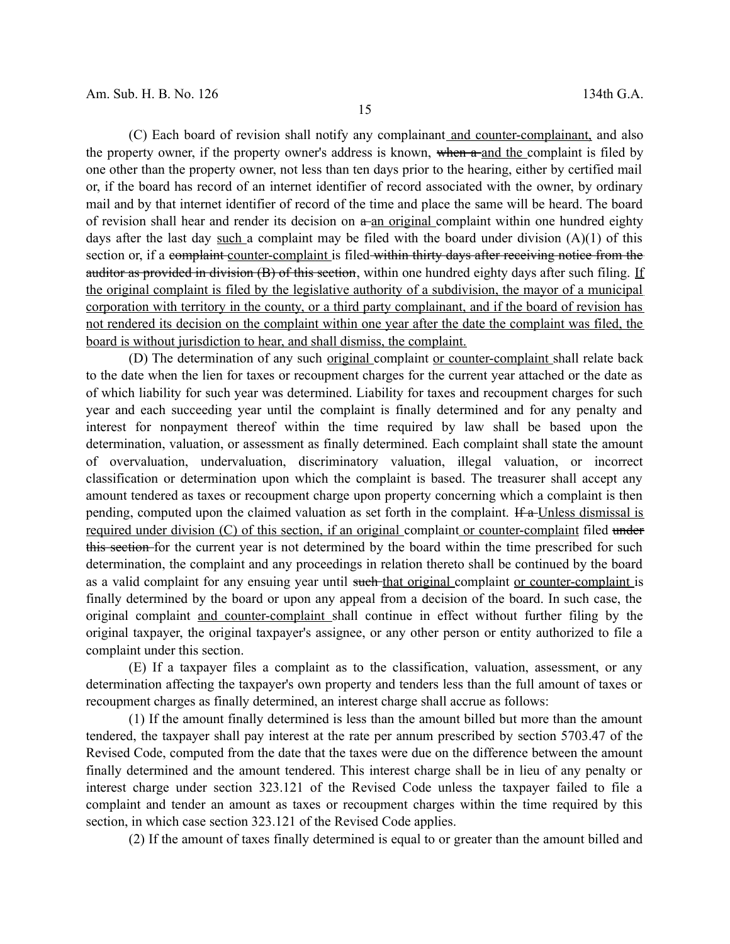(C) Each board of revision shall notify any complainant and counter-complainant, and also the property owner, if the property owner's address is known, when a and the complaint is filed by one other than the property owner, not less than ten days prior to the hearing, either by certified mail or, if the board has record of an internet identifier of record associated with the owner, by ordinary mail and by that internet identifier of record of the time and place the same will be heard. The board of revision shall hear and render its decision on  $a$ -an original complaint within one hundred eighty days after the last day such a complaint may be filed with the board under division  $(A)(1)$  of this section or, if a complaint counter-complaint is filed within thirty days after receiving notice from the auditor as provided in division (B) of this section, within one hundred eighty days after such filing. If the original complaint is filed by the legislative authority of a subdivision, the mayor of a municipal corporation with territory in the county, or a third party complainant, and if the board of revision has not rendered its decision on the complaint within one year after the date the complaint was filed, the board is without jurisdiction to hear, and shall dismiss, the complaint.

(D) The determination of any such original complaint or counter-complaint shall relate back to the date when the lien for taxes or recoupment charges for the current year attached or the date as of which liability for such year was determined. Liability for taxes and recoupment charges for such year and each succeeding year until the complaint is finally determined and for any penalty and interest for nonpayment thereof within the time required by law shall be based upon the determination, valuation, or assessment as finally determined. Each complaint shall state the amount of overvaluation, undervaluation, discriminatory valuation, illegal valuation, or incorrect classification or determination upon which the complaint is based. The treasurer shall accept any amount tendered as taxes or recoupment charge upon property concerning which a complaint is then pending, computed upon the claimed valuation as set forth in the complaint. If a Unless dismissal is required under division (C) of this section, if an original complaint or counter-complaint filed under this section for the current year is not determined by the board within the time prescribed for such determination, the complaint and any proceedings in relation thereto shall be continued by the board as a valid complaint for any ensuing year until such that original complaint or counter-complaint is finally determined by the board or upon any appeal from a decision of the board. In such case, the original complaint and counter-complaint shall continue in effect without further filing by the original taxpayer, the original taxpayer's assignee, or any other person or entity authorized to file a complaint under this section.

(E) If a taxpayer files a complaint as to the classification, valuation, assessment, or any determination affecting the taxpayer's own property and tenders less than the full amount of taxes or recoupment charges as finally determined, an interest charge shall accrue as follows:

(1) If the amount finally determined is less than the amount billed but more than the amount tendered, the taxpayer shall pay interest at the rate per annum prescribed by section 5703.47 of the Revised Code, computed from the date that the taxes were due on the difference between the amount finally determined and the amount tendered. This interest charge shall be in lieu of any penalty or interest charge under section 323.121 of the Revised Code unless the taxpayer failed to file a complaint and tender an amount as taxes or recoupment charges within the time required by this section, in which case section 323.121 of the Revised Code applies.

(2) If the amount of taxes finally determined is equal to or greater than the amount billed and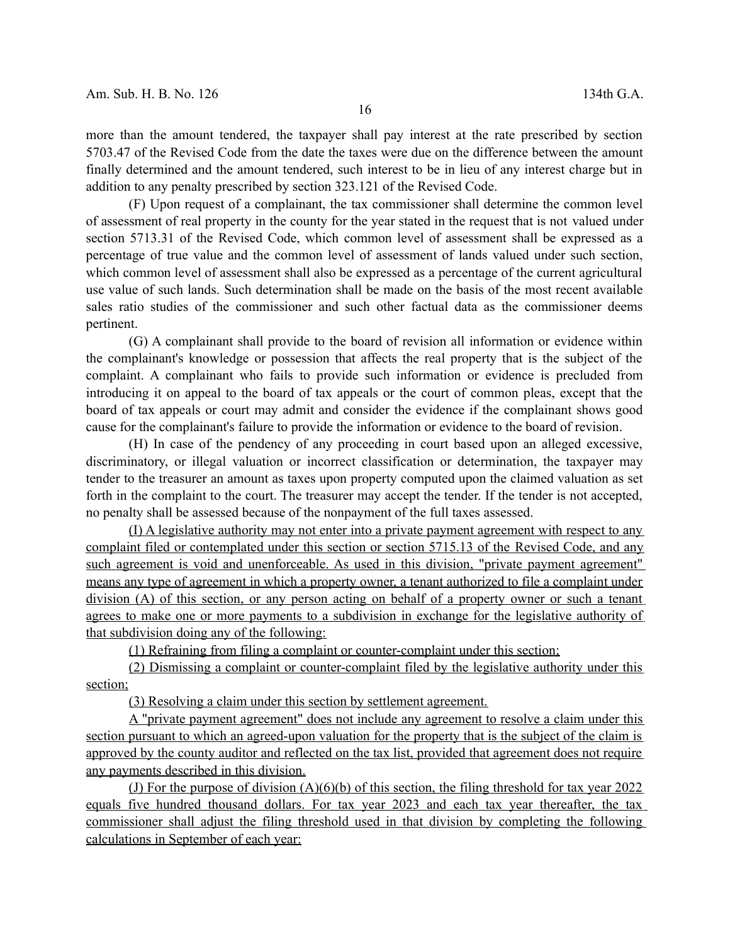more than the amount tendered, the taxpayer shall pay interest at the rate prescribed by section 5703.47 of the Revised Code from the date the taxes were due on the difference between the amount finally determined and the amount tendered, such interest to be in lieu of any interest charge but in addition to any penalty prescribed by section 323.121 of the Revised Code.

(F) Upon request of a complainant, the tax commissioner shall determine the common level of assessment of real property in the county for the year stated in the request that is not valued under section 5713.31 of the Revised Code, which common level of assessment shall be expressed as a percentage of true value and the common level of assessment of lands valued under such section, which common level of assessment shall also be expressed as a percentage of the current agricultural use value of such lands. Such determination shall be made on the basis of the most recent available sales ratio studies of the commissioner and such other factual data as the commissioner deems pertinent.

(G) A complainant shall provide to the board of revision all information or evidence within the complainant's knowledge or possession that affects the real property that is the subject of the complaint. A complainant who fails to provide such information or evidence is precluded from introducing it on appeal to the board of tax appeals or the court of common pleas, except that the board of tax appeals or court may admit and consider the evidence if the complainant shows good cause for the complainant's failure to provide the information or evidence to the board of revision.

(H) In case of the pendency of any proceeding in court based upon an alleged excessive, discriminatory, or illegal valuation or incorrect classification or determination, the taxpayer may tender to the treasurer an amount as taxes upon property computed upon the claimed valuation as set forth in the complaint to the court. The treasurer may accept the tender. If the tender is not accepted, no penalty shall be assessed because of the nonpayment of the full taxes assessed.

(I) A legislative authority may not enter into a private payment agreement with respect to any complaint filed or contemplated under this section or section 5715.13 of the Revised Code, and any such agreement is void and unenforceable. As used in this division, "private payment agreement" means any type of agreement in which a property owner, a tenant authorized to file a complaint under division (A) of this section, or any person acting on behalf of a property owner or such a tenant agrees to make one or more payments to a subdivision in exchange for the legislative authority of that subdivision doing any of the following:

(1) Refraining from filing a complaint or counter-complaint under this section;

(2) Dismissing a complaint or counter-complaint filed by the legislative authority under this section;

(3) Resolving a claim under this section by settlement agreement.

A "private payment agreement" does not include any agreement to resolve a claim under this section pursuant to which an agreed-upon valuation for the property that is the subject of the claim is approved by the county auditor and reflected on the tax list, provided that agreement does not require any payments described in this division.

(J) For the purpose of division (A)(6)(b) of this section, the filing threshold for tax year 2022 equals five hundred thousand dollars. For tax year 2023 and each tax year thereafter, the tax commissioner shall adjust the filing threshold used in that division by completing the following calculations in September of each year: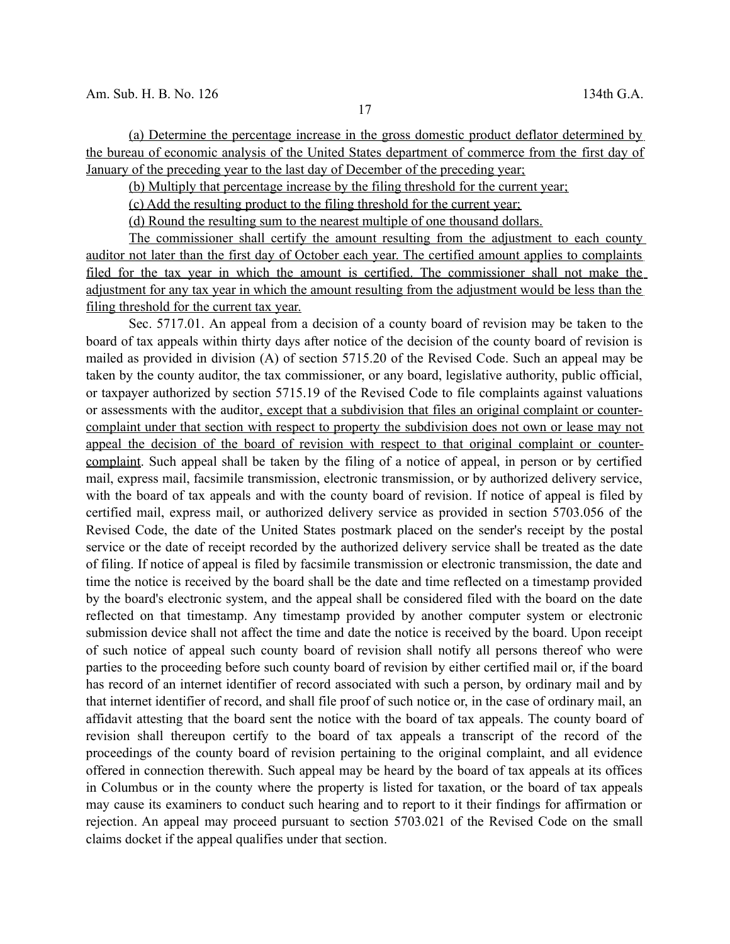(a) Determine the percentage increase in the gross domestic product deflator determined by the bureau of economic analysis of the United States department of commerce from the first day of January of the preceding year to the last day of December of the preceding year;

(b) Multiply that percentage increase by the filing threshold for the current year;

(c) Add the resulting product to the filing threshold for the current year;

(d) Round the resulting sum to the nearest multiple of one thousand dollars.

The commissioner shall certify the amount resulting from the adjustment to each county auditor not later than the first day of October each year. The certified amount applies to complaints filed for the tax year in which the amount is certified. The commissioner shall not make the adjustment for any tax year in which the amount resulting from the adjustment would be less than the filing threshold for the current tax year.

Sec. 5717.01. An appeal from a decision of a county board of revision may be taken to the board of tax appeals within thirty days after notice of the decision of the county board of revision is mailed as provided in division (A) of section 5715.20 of the Revised Code. Such an appeal may be taken by the county auditor, the tax commissioner, or any board, legislative authority, public official, or taxpayer authorized by section 5715.19 of the Revised Code to file complaints against valuations or assessments with the auditor, except that a subdivision that files an original complaint or countercomplaint under that section with respect to property the subdivision does not own or lease may not appeal the decision of the board of revision with respect to that original complaint or countercomplaint. Such appeal shall be taken by the filing of a notice of appeal, in person or by certified mail, express mail, facsimile transmission, electronic transmission, or by authorized delivery service, with the board of tax appeals and with the county board of revision. If notice of appeal is filed by certified mail, express mail, or authorized delivery service as provided in section 5703.056 of the Revised Code, the date of the United States postmark placed on the sender's receipt by the postal service or the date of receipt recorded by the authorized delivery service shall be treated as the date of filing. If notice of appeal is filed by facsimile transmission or electronic transmission, the date and time the notice is received by the board shall be the date and time reflected on a timestamp provided by the board's electronic system, and the appeal shall be considered filed with the board on the date reflected on that timestamp. Any timestamp provided by another computer system or electronic submission device shall not affect the time and date the notice is received by the board. Upon receipt of such notice of appeal such county board of revision shall notify all persons thereof who were parties to the proceeding before such county board of revision by either certified mail or, if the board has record of an internet identifier of record associated with such a person, by ordinary mail and by that internet identifier of record, and shall file proof of such notice or, in the case of ordinary mail, an affidavit attesting that the board sent the notice with the board of tax appeals. The county board of revision shall thereupon certify to the board of tax appeals a transcript of the record of the proceedings of the county board of revision pertaining to the original complaint, and all evidence offered in connection therewith. Such appeal may be heard by the board of tax appeals at its offices in Columbus or in the county where the property is listed for taxation, or the board of tax appeals may cause its examiners to conduct such hearing and to report to it their findings for affirmation or rejection. An appeal may proceed pursuant to section 5703.021 of the Revised Code on the small claims docket if the appeal qualifies under that section.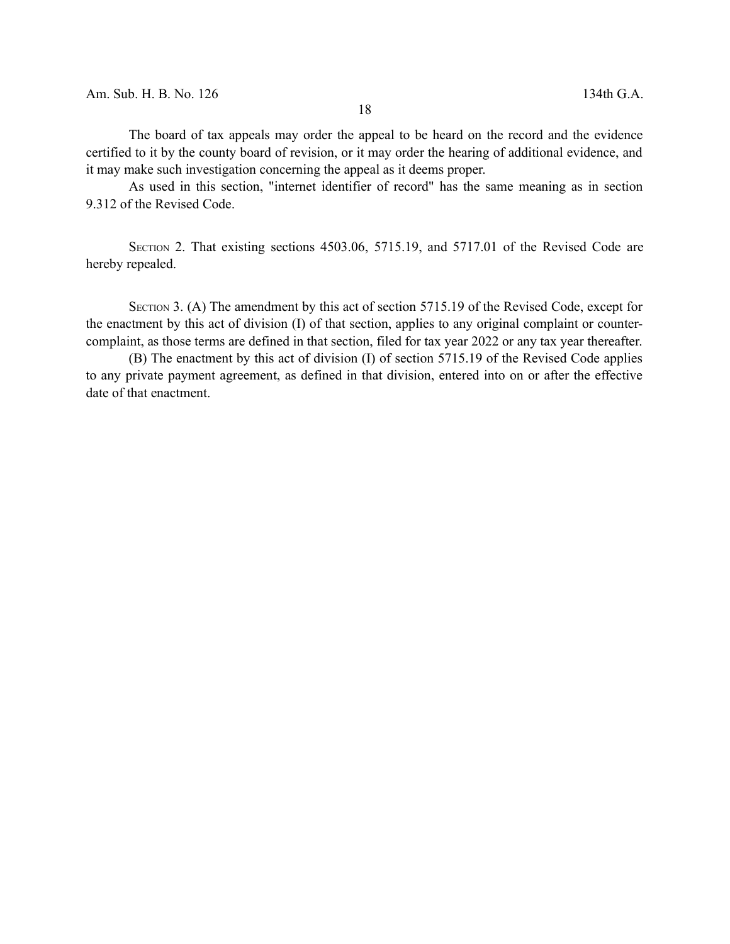The board of tax appeals may order the appeal to be heard on the record and the evidence certified to it by the county board of revision, or it may order the hearing of additional evidence, and it may make such investigation concerning the appeal as it deems proper.

As used in this section, "internet identifier of record" has the same meaning as in section 9.312 of the Revised Code.

SECTION 2. That existing sections 4503.06, 5715.19, and 5717.01 of the Revised Code are hereby repealed.

SECTION 3. (A) The amendment by this act of section 5715.19 of the Revised Code, except for the enactment by this act of division (I) of that section, applies to any original complaint or countercomplaint, as those terms are defined in that section, filed for tax year 2022 or any tax year thereafter.

(B) The enactment by this act of division (I) of section 5715.19 of the Revised Code applies to any private payment agreement, as defined in that division, entered into on or after the effective date of that enactment.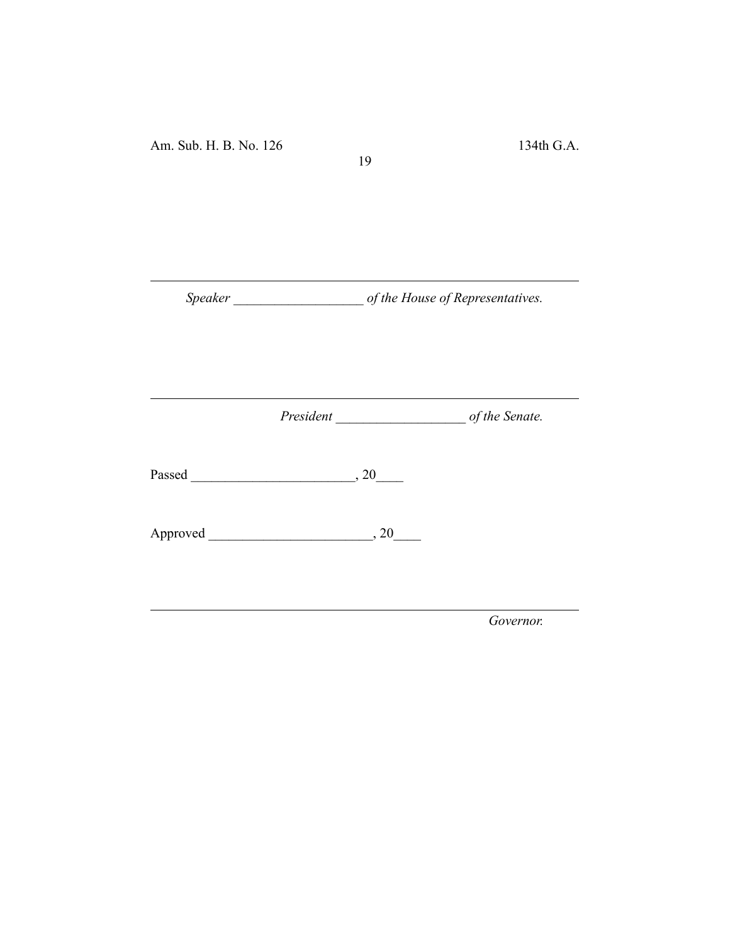*Speaker \_\_\_\_\_\_\_\_\_\_\_\_\_\_\_\_\_\_\_ of the House of Representatives.*

19

*President \_\_\_\_\_\_\_\_\_\_\_\_\_\_\_\_\_\_\_ of the Senate.*

Passed \_\_\_\_\_\_\_\_\_\_\_\_\_\_\_\_\_\_\_\_\_\_\_\_, 20\_\_\_\_

Approved \_\_\_\_\_\_\_\_\_\_\_\_\_\_\_\_\_\_\_\_\_\_\_\_, 20\_\_\_\_

*Governor.*